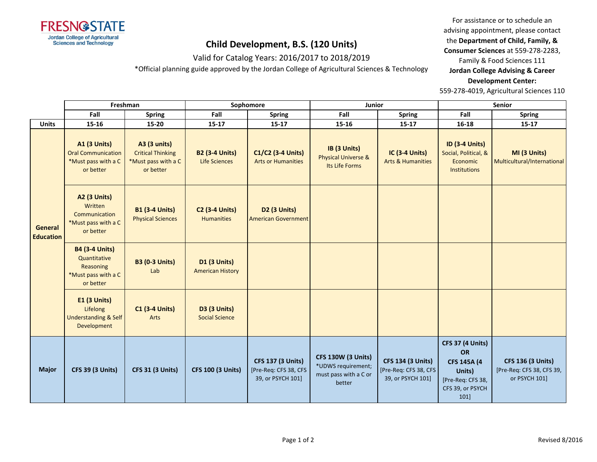

## **Child Development, B.S. (120 Units)**

Valid for Catalog Years: 2016/2017 to 2018/2019

\*Official planning guide approved by the Jordan College of Agricultural Sciences & Technology

For assistance or to schedule an advising appointment, please contact the **Department of Child, Family, & Consumer Sciences** at 559-278-2283, Family & Food Sciences 111

**Jordan College Advising & Career Development Center:**

559-278-4019, Agricultural Sciences 110

|                                    | Freshman                                                                               |                                                                                     | Sophomore                                      |                                                                        | Junior                                                                             |                                                                         | Senior                                                                                                          |                                                                        |
|------------------------------------|----------------------------------------------------------------------------------------|-------------------------------------------------------------------------------------|------------------------------------------------|------------------------------------------------------------------------|------------------------------------------------------------------------------------|-------------------------------------------------------------------------|-----------------------------------------------------------------------------------------------------------------|------------------------------------------------------------------------|
|                                    | Fall                                                                                   | <b>Spring</b>                                                                       | Fall                                           | <b>Spring</b>                                                          | Fall                                                                               | <b>Spring</b>                                                           | Fall                                                                                                            | <b>Spring</b>                                                          |
| <b>Units</b>                       | 15-16                                                                                  | 15-20                                                                               | $15 - 17$                                      | $15 - 17$                                                              | 15-16                                                                              | $15 - 17$                                                               | 16-18                                                                                                           | $15 - 17$                                                              |
| <b>General</b><br><b>Education</b> | <b>A1 (3 Units)</b><br><b>Oral Communication</b><br>*Must pass with a C<br>or better   | <b>A3 (3 units)</b><br><b>Critical Thinking</b><br>*Must pass with a C<br>or better | <b>B2 (3-4 Units)</b><br><b>Life Sciences</b>  | C1/C2 (3-4 Units)<br><b>Arts or Humanities</b>                         | IB (3 Units)<br><b>Physical Universe &amp;</b><br>Its Life Forms                   | <b>IC (3-4 Units)</b><br><b>Arts &amp; Humanities</b>                   | <b>ID (3-4 Units)</b><br>Social, Political, &<br>Economic<br><b>Institutions</b>                                | MI (3 Units)<br>Multicultural/International                            |
|                                    | <b>A2 (3 Units)</b><br>Written<br>Communication<br>*Must pass with a C<br>or better    | <b>B1 (3-4 Units)</b><br><b>Physical Sciences</b>                                   | <b>C2 (3-4 Units)</b><br><b>Humanities</b>     | D2 (3 Units)<br><b>American Government</b>                             |                                                                                    |                                                                         |                                                                                                                 |                                                                        |
|                                    | <b>B4 (3-4 Units)</b><br>Quantitative<br>Reasoning<br>*Must pass with a C<br>or better | <b>B3 (0-3 Units)</b><br>Lab                                                        | <b>D1 (3 Units)</b><br><b>American History</b> |                                                                        |                                                                                    |                                                                         |                                                                                                                 |                                                                        |
|                                    | <b>E1 (3 Units)</b><br>Lifelong<br><b>Understanding &amp; Self</b><br>Development      | <b>C1 (3-4 Units)</b><br>Arts                                                       | <b>D3 (3 Units)</b><br><b>Social Science</b>   |                                                                        |                                                                                    |                                                                         |                                                                                                                 |                                                                        |
| <b>Major</b>                       | <b>CFS 39 (3 Units)</b>                                                                | <b>CFS 31 (3 Units)</b>                                                             | <b>CFS 100 (3 Units)</b>                       | <b>CFS 137 (3 Units)</b><br>[Pre-Req: CFS 38, CFS<br>39, or PSYCH 101] | <b>CFS 130W (3 Units)</b><br>*UDWS requirement;<br>must pass with a C or<br>better | <b>CFS 134 (3 Units)</b><br>[Pre-Req: CFS 38, CFS]<br>39, or PSYCH 101] | <b>CFS 37 (4 Units)</b><br>OR<br><b>CFS 145A (4)</b><br>Units)<br>[Pre-Req: CFS 38,<br>CFS 39, or PSYCH<br>101] | <b>CFS 136 (3 Units)</b><br>[Pre-Req: CFS 38, CFS 39,<br>or PSYCH 101] |